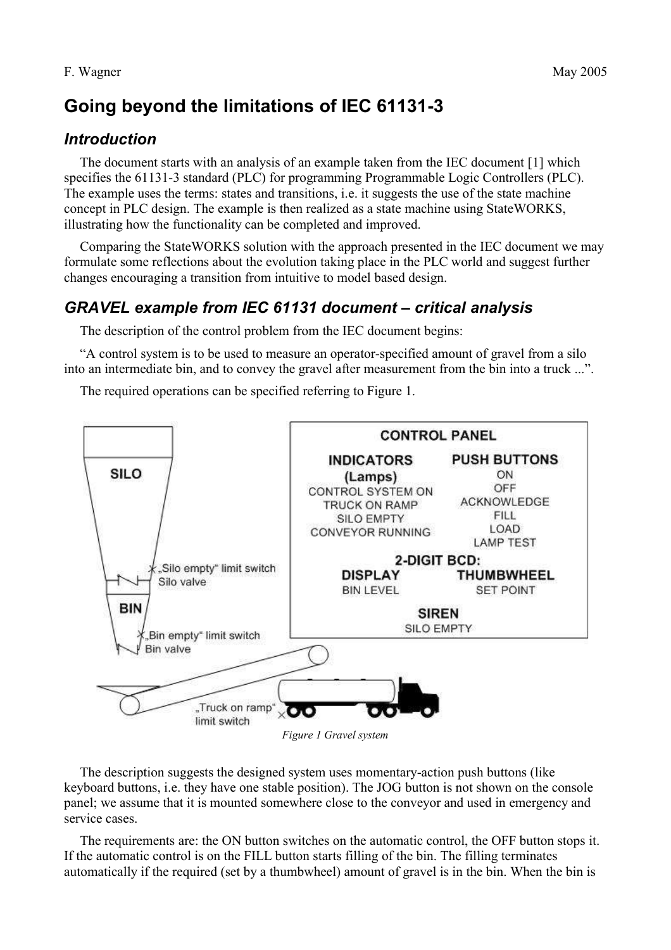# **Going beyond the limitations of IEC 61131-3**

## *Introduction*

The document starts with an analysis of an example taken from the IEC document [1] which specifies the 61131-3 standard (PLC) for programming Programmable Logic Controllers (PLC). The example uses the terms: states and transitions, i.e. it suggests the use of the state machine concept in PLC design. The example is then realized as a state machine using StateWORKS, illustrating how the functionality can be completed and improved.

Comparing the StateWORKS solution with the approach presented in the IEC document we may formulate some reflections about the evolution taking place in the PLC world and suggest further changes encouraging a transition from intuitive to model based design.

# *GRAVEL example from IEC 61131 document – critical analysis*

The description of the control problem from the IEC document begins:

"A control system is to be used to measure an operator-specified amount of gravel from a silo into an intermediate bin, and to convey the gravel after measurement from the bin into a truck ...".

The required operations can be specified referring to Figure 1.



*Figure 1 Gravel system*

The description suggests the designed system uses momentary-action push buttons (like keyboard buttons, i.e. they have one stable position). The JOG button is not shown on the console panel; we assume that it is mounted somewhere close to the conveyor and used in emergency and service cases.

The requirements are: the ON button switches on the automatic control, the OFF button stops it. If the automatic control is on the FILL button starts filling of the bin. The filling terminates automatically if the required (set by a thumbwheel) amount of gravel is in the bin. When the bin is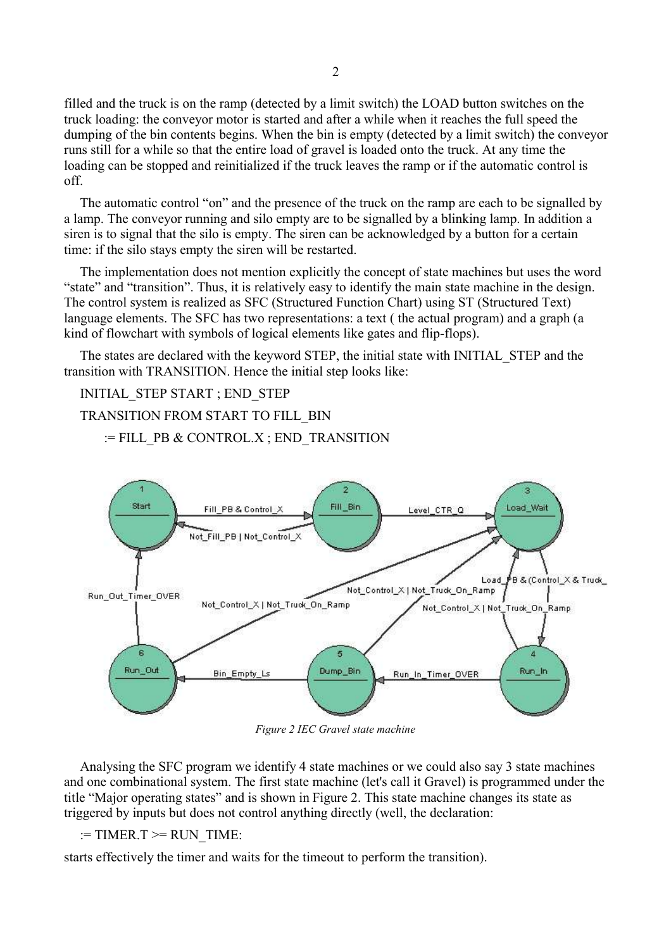filled and the truck is on the ramp (detected by a limit switch) the LOAD button switches on the truck loading: the conveyor motor is started and after a while when it reaches the full speed the dumping of the bin contents begins. When the bin is empty (detected by a limit switch) the conveyor runs still for a while so that the entire load of gravel is loaded onto the truck. At any time the loading can be stopped and reinitialized if the truck leaves the ramp or if the automatic control is off.

The automatic control "on" and the presence of the truck on the ramp are each to be signalled by a lamp. The conveyor running and silo empty are to be signalled by a blinking lamp. In addition a siren is to signal that the silo is empty. The siren can be acknowledged by a button for a certain time: if the silo stays empty the siren will be restarted.

The implementation does not mention explicitly the concept of state machines but uses the word "state" and "transition". Thus, it is relatively easy to identify the main state machine in the design. The control system is realized as SFC (Structured Function Chart) using ST (Structured Text) language elements. The SFC has two representations: a text ( the actual program) and a graph (a kind of flowchart with symbols of logical elements like gates and flip-flops).

The states are declared with the keyword STEP, the initial state with INITIAL\_STEP and the transition with TRANSITION. Hence the initial step looks like:

INITIAL\_STEP START ; END\_STEP TRANSITION FROM START TO FILL\_BIN

:= FILL\_PB & CONTROL.X ; END\_TRANSITION



*Figure 2 IEC Gravel state machine*

Analysing the SFC program we identify 4 state machines or we could also say 3 state machines and one combinational system. The first state machine (let's call it Gravel) is programmed under the title "Major operating states" and is shown in Figure 2. This state machine changes its state as triggered by inputs but does not control anything directly (well, the declaration:

#### $:=$  TIMER.T  $>=$  RUN\_TIME:

starts effectively the timer and waits for the timeout to perform the transition).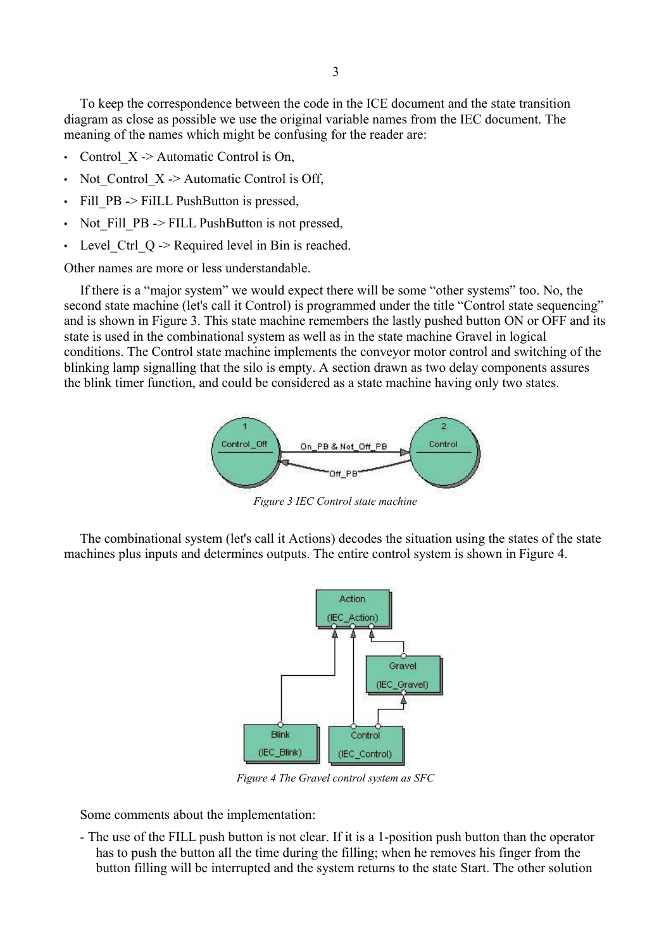To keep the correspondence between the code in the ICE document and the state transition diagram as close as possible we use the original variable names from the IEC document. The meaning of the names which might be confusing for the reader are:

- Control\_X -> Automatic Control is On,
- Not Control  $X \rightarrow$  Automatic Control is Off,
- Fill PB -> FiILL PushButton is pressed,
- Not Fill PB -> FILL PushButton is not pressed,
- Level Ctrl  $Q \rightarrow$  Required level in Bin is reached.

Other names are more or less understandable.

If there is a "major system" we would expect there will be some "other systems" too. No, the second state machine (let's call it Control) is programmed under the title "Control state sequencing" and is shown in Figure 3. This state machine remembers the lastly pushed button ON or OFF and its state is used in the combinational system as well as in the state machine Gravel in logical conditions. The Control state machine implements the conveyor motor control and switching of the blinking lamp signalling that the silo is empty. A section drawn as two delay components assures the blink timer function, and could be considered as a state machine having only two states.



*Figure 3 IEC Control state machine*

The combinational system (let's call it Actions) decodes the situation using the states of the state machines plus inputs and determines outputs. The entire control system is shown in Figure 4.



*Figure 4 The Gravel control system as SFC*

Some comments about the implementation:

- The use of the FILL push button is not clear. If it is a 1-position push button than the operator has to push the button all the time during the filling; when he removes his finger from the button filling will be interrupted and the system returns to the state Start. The other solution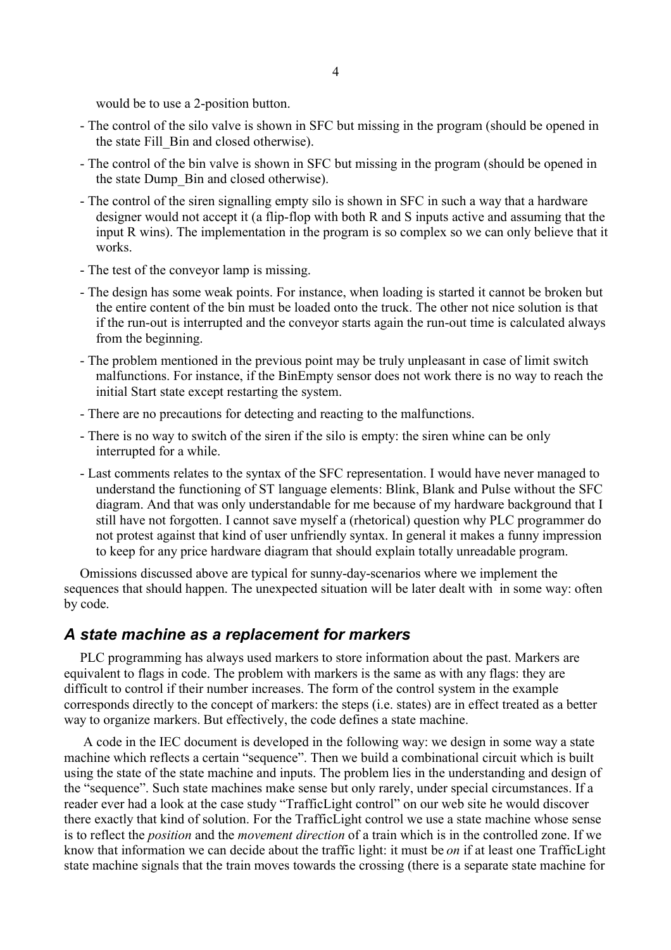would be to use a 2-position button.

- The control of the silo valve is shown in SFC but missing in the program (should be opened in the state Fill\_Bin and closed otherwise).
- The control of the bin valve is shown in SFC but missing in the program (should be opened in the state Dump\_Bin and closed otherwise).
- The control of the siren signalling empty silo is shown in SFC in such a way that a hardware designer would not accept it (a flip-flop with both R and S inputs active and assuming that the input R wins). The implementation in the program is so complex so we can only believe that it works.
- The test of the conveyor lamp is missing.
- The design has some weak points. For instance, when loading is started it cannot be broken but the entire content of the bin must be loaded onto the truck. The other not nice solution is that if the run-out is interrupted and the conveyor starts again the run-out time is calculated always from the beginning.
- The problem mentioned in the previous point may be truly unpleasant in case of limit switch malfunctions. For instance, if the BinEmpty sensor does not work there is no way to reach the initial Start state except restarting the system.
- There are no precautions for detecting and reacting to the malfunctions.
- There is no way to switch of the siren if the silo is empty: the siren whine can be only interrupted for a while.
- Last comments relates to the syntax of the SFC representation. I would have never managed to understand the functioning of ST language elements: Blink, Blank and Pulse without the SFC diagram. And that was only understandable for me because of my hardware background that I still have not forgotten. I cannot save myself a (rhetorical) question why PLC programmer do not protest against that kind of user unfriendly syntax. In general it makes a funny impression to keep for any price hardware diagram that should explain totally unreadable program.

Omissions discussed above are typical for sunny-day-scenarios where we implement the sequences that should happen. The unexpected situation will be later dealt with in some way: often by code.

#### *A state machine as a replacement for markers*

PLC programming has always used markers to store information about the past. Markers are equivalent to flags in code. The problem with markers is the same as with any flags: they are difficult to control if their number increases. The form of the control system in the example corresponds directly to the concept of markers: the steps (i.e. states) are in effect treated as a better way to organize markers. But effectively, the code defines a state machine.

A code in the IEC document is developed in the following way: we design in some way a state machine which reflects a certain "sequence". Then we build a combinational circuit which is built using the state of the state machine and inputs. The problem lies in the understanding and design of the "sequence". Such state machines make sense but only rarely, under special circumstances. If a reader ever had a look at the case study "TrafficLight control" on our web site he would discover there exactly that kind of solution. For the TrafficLight control we use a state machine whose sense is to reflect the *position* and the *movement direction* of a train which is in the controlled zone. If we know that information we can decide about the traffic light: it must be *on* if at least one TrafficLight state machine signals that the train moves towards the crossing (there is a separate state machine for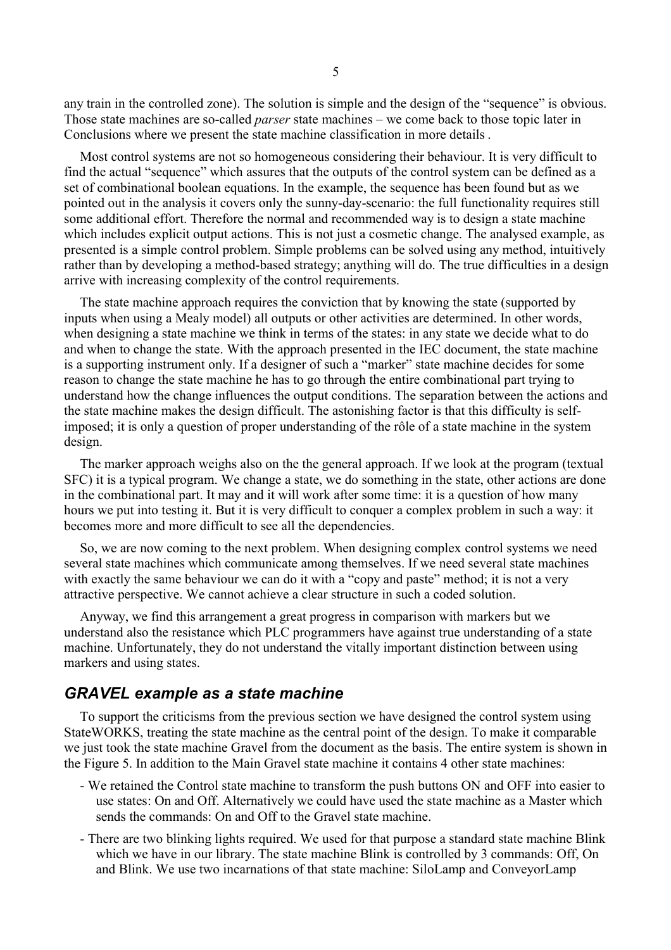any train in the controlled zone). The solution is simple and the design of the "sequence" is obvious. Those state machines are so-called *parser* state machines – we come back to those topic later in Conclusions where we present the state machine classification in more details .

Most control systems are not so homogeneous considering their behaviour. It is very difficult to find the actual "sequence" which assures that the outputs of the control system can be defined as a set of combinational boolean equations. In the example, the sequence has been found but as we pointed out in the analysis it covers only the sunny-day-scenario: the full functionality requires still some additional effort. Therefore the normal and recommended way is to design a state machine which includes explicit output actions. This is not just a cosmetic change. The analysed example, as presented is a simple control problem. Simple problems can be solved using any method, intuitively rather than by developing a method-based strategy; anything will do. The true difficulties in a design arrive with increasing complexity of the control requirements.

The state machine approach requires the conviction that by knowing the state (supported by inputs when using a Mealy model) all outputs or other activities are determined. In other words, when designing a state machine we think in terms of the states: in any state we decide what to do and when to change the state. With the approach presented in the IEC document, the state machine is a supporting instrument only. If a designer of such a "marker" state machine decides for some reason to change the state machine he has to go through the entire combinational part trying to understand how the change influences the output conditions. The separation between the actions and the state machine makes the design difficult. The astonishing factor is that this difficulty is selfimposed; it is only a question of proper understanding of the rôle of a state machine in the system design.

The marker approach weighs also on the the general approach. If we look at the program (textual SFC) it is a typical program. We change a state, we do something in the state, other actions are done in the combinational part. It may and it will work after some time: it is a question of how many hours we put into testing it. But it is very difficult to conquer a complex problem in such a way: it becomes more and more difficult to see all the dependencies.

So, we are now coming to the next problem. When designing complex control systems we need several state machines which communicate among themselves. If we need several state machines with exactly the same behaviour we can do it with a "copy and paste" method; it is not a very attractive perspective. We cannot achieve a clear structure in such a coded solution.

Anyway, we find this arrangement a great progress in comparison with markers but we understand also the resistance which PLC programmers have against true understanding of a state machine. Unfortunately, they do not understand the vitally important distinction between using markers and using states.

#### *GRAVEL example as a state machine*

To support the criticisms from the previous section we have designed the control system using StateWORKS, treating the state machine as the central point of the design. To make it comparable we just took the state machine Gravel from the document as the basis. The entire system is shown in the Figure 5. In addition to the Main Gravel state machine it contains 4 other state machines:

- We retained the Control state machine to transform the push buttons ON and OFF into easier to use states: On and Off. Alternatively we could have used the state machine as a Master which sends the commands: On and Off to the Gravel state machine.
- There are two blinking lights required. We used for that purpose a standard state machine Blink which we have in our library. The state machine Blink is controlled by 3 commands: Off, On and Blink. We use two incarnations of that state machine: SiloLamp and ConveyorLamp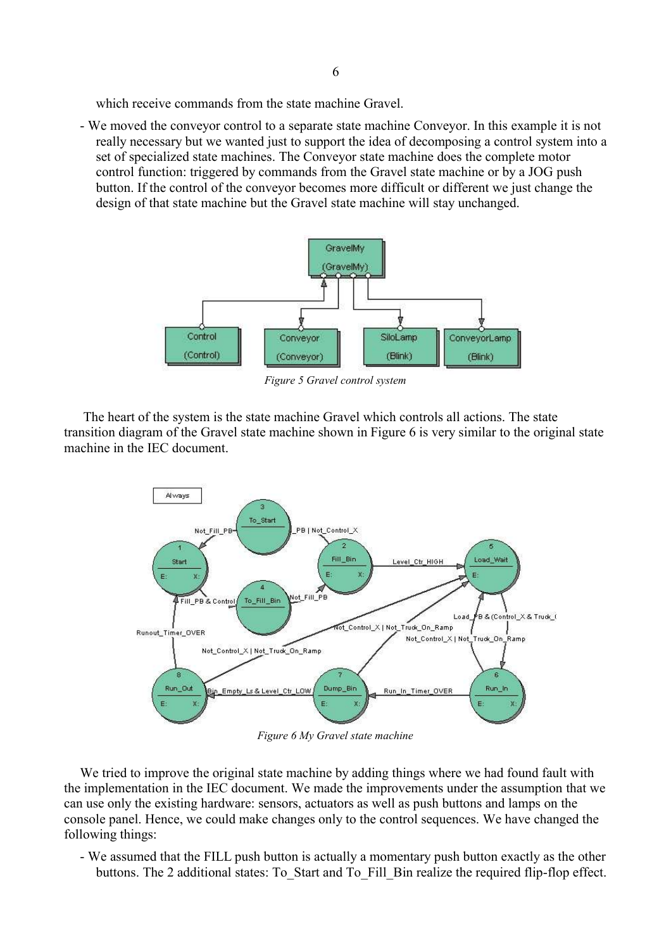which receive commands from the state machine Gravel.

- We moved the conveyor control to a separate state machine Conveyor. In this example it is not really necessary but we wanted just to support the idea of decomposing a control system into a set of specialized state machines. The Conveyor state machine does the complete motor control function: triggered by commands from the Gravel state machine or by a JOG push button. If the control of the conveyor becomes more difficult or different we just change the design of that state machine but the Gravel state machine will stay unchanged.



*Figure 5 Gravel control system*

The heart of the system is the state machine Gravel which controls all actions. The state transition diagram of the Gravel state machine shown in Figure 6 is very similar to the original state machine in the IEC document.



*Figure 6 My Gravel state machine*

We tried to improve the original state machine by adding things where we had found fault with the implementation in the IEC document. We made the improvements under the assumption that we can use only the existing hardware: sensors, actuators as well as push buttons and lamps on the console panel. Hence, we could make changes only to the control sequences. We have changed the following things:

- We assumed that the FILL push button is actually a momentary push button exactly as the other buttons. The 2 additional states: To\_Start and To\_Fill\_Bin realize the required flip-flop effect.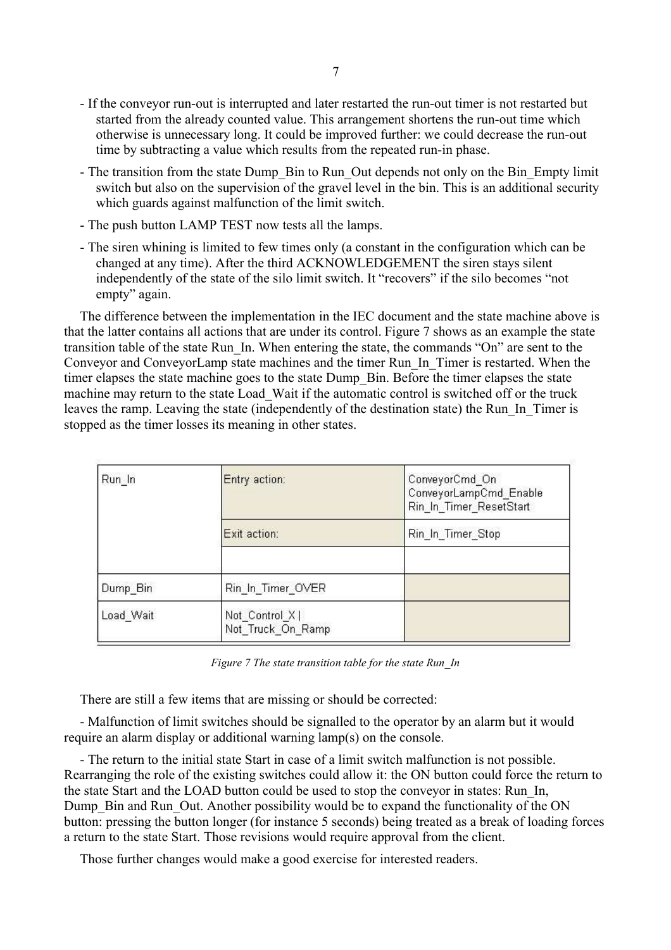- If the conveyor run-out is interrupted and later restarted the run-out timer is not restarted but started from the already counted value. This arrangement shortens the run-out time which otherwise is unnecessary long. It could be improved further: we could decrease the run-out time by subtracting a value which results from the repeated run-in phase.
- The transition from the state Dump\_Bin to Run\_Out depends not only on the Bin\_Empty limit switch but also on the supervision of the gravel level in the bin. This is an additional security which guards against malfunction of the limit switch.
- The push button LAMP TEST now tests all the lamps.
- The siren whining is limited to few times only (a constant in the configuration which can be changed at any time). After the third ACKNOWLEDGEMENT the siren stays silent independently of the state of the silo limit switch. It "recovers" if the silo becomes "not empty" again.

The difference between the implementation in the IEC document and the state machine above is that the latter contains all actions that are under its control. Figure 7 shows as an example the state transition table of the state Run\_In. When entering the state, the commands "On" are sent to the Conveyor and ConveyorLamp state machines and the timer Run\_In\_Timer is restarted. When the timer elapses the state machine goes to the state Dump\_Bin. Before the timer elapses the state machine may return to the state Load Wait if the automatic control is switched off or the truck leaves the ramp. Leaving the state (independently of the destination state) the Run\_In\_Timer is stopped as the timer losses its meaning in other states.

| Run In    | Entry action:                       | ConveyorCmd On<br>ConveyorLampCmd_Enable<br>Rin In Timer ResetStart |
|-----------|-------------------------------------|---------------------------------------------------------------------|
|           | Exit action:                        | Rin_In_Timer_Stop                                                   |
| Dump Bin  | Rin In Timer OVER                   |                                                                     |
| Load Wait | Not_Control_X <br>Not_Truck_On_Ramp |                                                                     |

*Figure 7 The state transition table for the state Run\_In*

There are still a few items that are missing or should be corrected:

- Malfunction of limit switches should be signalled to the operator by an alarm but it would require an alarm display or additional warning lamp(s) on the console.

- The return to the initial state Start in case of a limit switch malfunction is not possible. Rearranging the role of the existing switches could allow it: the ON button could force the return to the state Start and the LOAD button could be used to stop the conveyor in states: Run\_In, Dump Bin and Run Out. Another possibility would be to expand the functionality of the ON button: pressing the button longer (for instance 5 seconds) being treated as a break of loading forces a return to the state Start. Those revisions would require approval from the client.

Those further changes would make a good exercise for interested readers.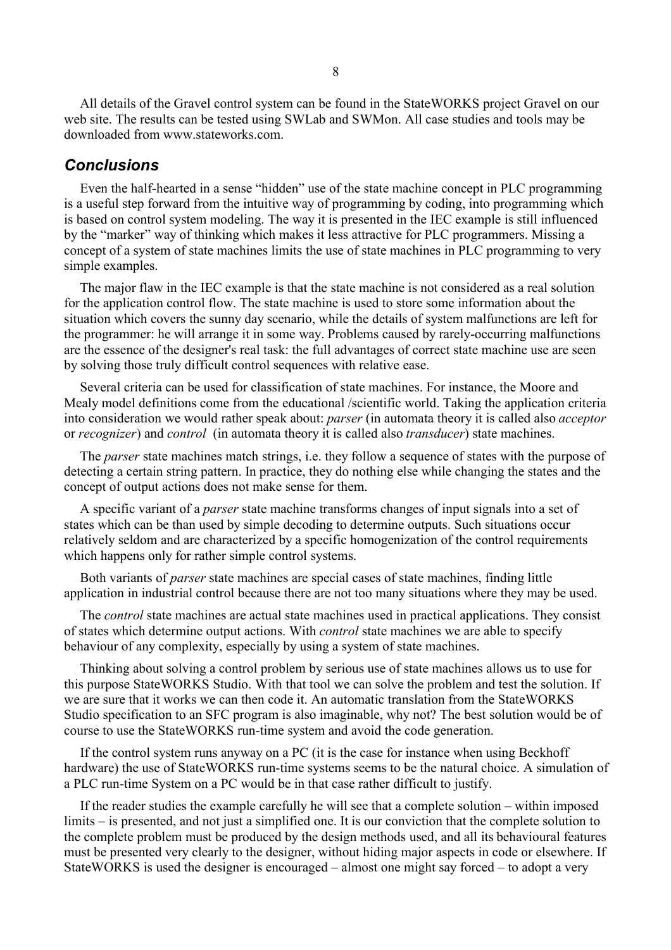All details of the Gravel control system can be found in the StateWORKS project Gravel on our web site. The results can be tested using SWLab and SWMon. All case studies and tools may be downloaded from www.stateworks.com.

#### *Conclusions*

Even the half-hearted in a sense "hidden" use of the state machine concept in PLC programming is a useful step forward from the intuitive way of programming by coding, into programming which is based on control system modeling. The way it is presented in the IEC example is still influenced by the "marker" way of thinking which makes it less attractive for PLC programmers. Missing a concept of a system of state machines limits the use of state machines in PLC programming to very simple examples.

The major flaw in the IEC example is that the state machine is not considered as a real solution for the application control flow. The state machine is used to store some information about the situation which covers the sunny day scenario, while the details of system malfunctions are left for the programmer: he will arrange it in some way. Problems caused by rarely-occurring malfunctions are the essence of the designer's real task: the full advantages of correct state machine use are seen by solving those truly difficult control sequences with relative ease.

Several criteria can be used for classification of state machines. For instance, the Moore and Mealy model definitions come from the educational /scientific world. Taking the application criteria into consideration we would rather speak about: *parser* (in automata theory it is called also *acceptor* or *recognizer*) and *control* (in automata theory it is called also *transducer*) state machines.

The *parser* state machines match strings, i.e. they follow a sequence of states with the purpose of detecting a certain string pattern. In practice, they do nothing else while changing the states and the concept of output actions does not make sense for them.

A specific variant of a *parser* state machine transforms changes of input signals into a set of states which can be than used by simple decoding to determine outputs. Such situations occur relatively seldom and are characterized by a specific homogenization of the control requirements which happens only for rather simple control systems.

Both variants of *parser* state machines are special cases of state machines, finding little application in industrial control because there are not too many situations where they may be used.

The *control* state machines are actual state machines used in practical applications. They consist of states which determine output actions. With *control* state machines we are able to specify behaviour of any complexity, especially by using a system of state machines.

Thinking about solving a control problem by serious use of state machines allows us to use for this purpose StateWORKS Studio. With that tool we can solve the problem and test the solution. If we are sure that it works we can then code it. An automatic translation from the StateWORKS Studio specification to an SFC program is also imaginable, why not? The best solution would be of course to use the StateWORKS run-time system and avoid the code generation.

If the control system runs anyway on a PC (it is the case for instance when using Beckhoff hardware) the use of StateWORKS run-time systems seems to be the natural choice. A simulation of a PLC run-time System on a PC would be in that case rather difficult to justify.

If the reader studies the example carefully he will see that a complete solution – within imposed limits – is presented, and not just a simplified one. It is our conviction that the complete solution to the complete problem must be produced by the design methods used, and all its behavioural features must be presented very clearly to the designer, without hiding major aspects in code or elsewhere. If StateWORKS is used the designer is encouraged – almost one might say forced – to adopt a very